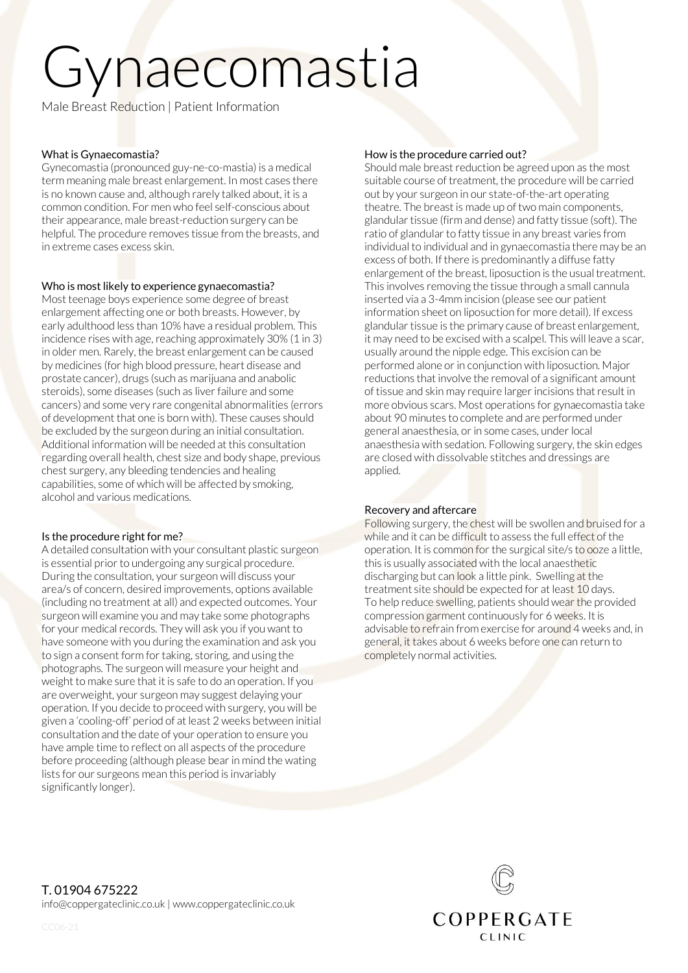# Gynaecomastia

Male Breast Reduction | Patient Information

## What is Gynaecomastia?

Gynecomastia (pronounced guy-ne-co-mastia) is a medical term meaning male breast enlargement. In most cases there is no known cause and, although rarely talked about, it is a common condition. For men who feel self-conscious about their appearance, male breast-reduction surgery can be helpful. The procedure removes tissue from the breasts, and in extreme cases excess skin.

## Who is most likely to experience gynaecomastia?

Most teenage boys experience some degree of breast enlargement affecting one or both breasts. However, by early adulthood less than 10% have a residual problem. This incidence rises with age, reaching approximately 30% (1 in 3) in older men. Rarely, the breast enlargement can be caused by medicines (for high blood pressure, heart disease and prostate cancer), drugs (such as marijuana and anabolic steroids), some diseases (such as liver failure and some cancers) and some very rare congenital abnormalities (errors of development that one is born with). These causes should be excluded by the surgeon during an initial consultation. Additional information will be needed at this consultation regarding overall health, chest size and body shape, previous chest surgery, any bleeding tendencies and healing capabilities, some of which will be affected by smoking, alcohol and various medications.

# Is the procedure right for me?

A detailed consultation with your consultant plastic surgeon is essential prior to undergoing any surgical procedure. During the consultation, your surgeon will discuss your area/s of concern, desired improvements, options available (including no treatment at all) and expected outcomes. Your surgeon will examine you and may take some photographs for your medical records. They will ask you if you want to have someone with you during the examination and ask you to sign a consent form for taking, storing, and using the photographs. The surgeon will measure your height and weight to make sure that it is safe to do an operation. If you are overweight, your surgeon may suggest delaying your operation. If you decide to proceed with surgery, you will be given a 'cooling-off' period of at least 2 weeks between initial consultation and the date of your operation to ensure you have ample time to reflect on all aspects of the procedure before proceeding (although please bear in mind the wating lists for our surgeons mean this period is invariably significantly longer).

## How is the procedure carried out?

Should male breast reduction be agreed upon as the most suitable course of treatment, the procedure will be carried out by your surgeon in our state-of-the-art operating theatre. The breast is made up of two main components, glandular tissue (firm and dense) and fatty tissue (soft). The ratio of glandular to fatty tissue in any breast varies from individual to individual and in gynaecomastia there may be an excess of both. If there is predominantly a diffuse fatty enlargement of the breast, liposuction is the usual treatment. This involves removing the tissue through a small cannula inserted via a 3-4mm incision (please see our patient information sheet on liposuction for more detail). If excess glandular tissue is the primary cause of breast enlargement, it may need to be excised with a scalpel. This will leave a scar, usually around the nipple edge. This excision can be performed alone or in conjunction with liposuction. Major reductions that involve the removal of a significant amount of tissue and skin may require larger incisions that result in more obvious scars. Most operations for gynaecomastia take about 90 minutes to complete and are performed under general anaesthesia, or in some cases, under local anaesthesia with sedation. Following surgery, the skin edges are closed with dissolvable stitches and dressings are applied.

## Recovery and aftercare

Following surgery, the chest will be swollen and bruised for a while and it can be difficult to assess the full effect of the operation. It is common for the surgical site/s to ooze a little, this is usually associated with the local anaesthetic discharging but can look a little pink. Swelling at the treatment site should be expected for at least 10 days. To help reduce swelling, patients should wear the provided compression garment continuously for 6 weeks. It is advisable to refrain from exercise for around 4 weeks and, in general, it takes about 6 weeks before one can return to completely normal activities.



T. 01904 675222 info@coppergateclinic.co.uk | www.coppergateclinic.co.uk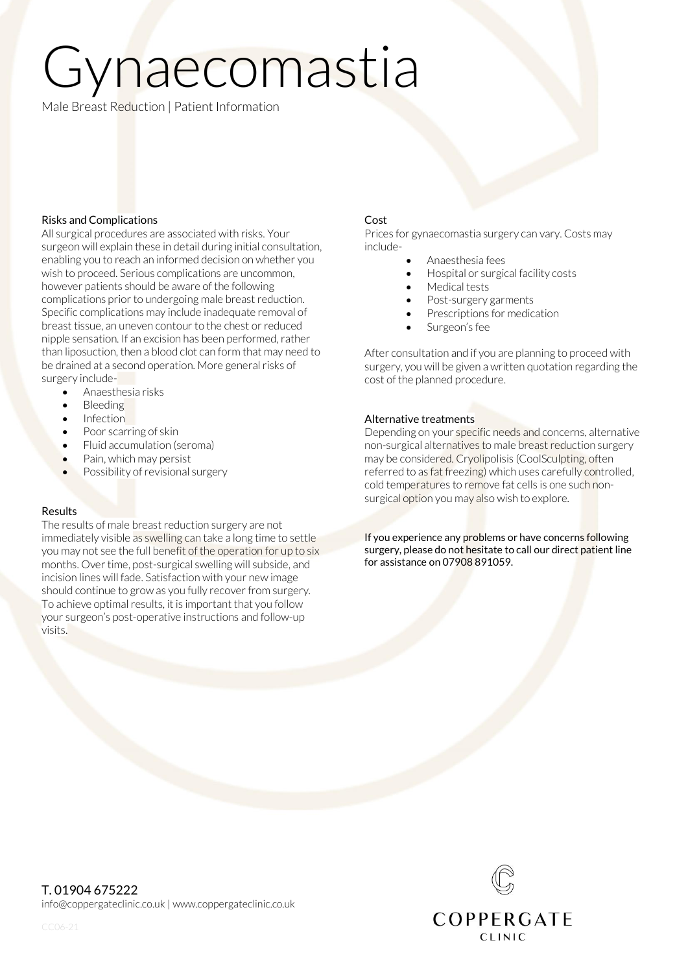# Gynaecomastia

Male Breast Reduction | Patient Information

## Risks and Complications

All surgical procedures are associated with risks. Your surgeon will explain these in detail during initial consultation, enabling you to reach an informed decision on whether you wish to proceed. Serious complications are uncommon, however patients should be aware of the following complications prior to undergoing male breast reduction. Specific complications may include inadequate removal of breast tissue, an uneven contour to the chest or reduced nipple sensation. If an excision has been performed, rather than liposuction, then a blood clot can form that may need to be drained at a second operation. More general risks of surgery include-

- Anaesthesia risks
- Bleeding
- **Infection**
- Poor scarring of skin
- Fluid accumulation (seroma)
- Pain, which may persist
- Possibility of revisional surgery

# Results

The results of male breast reduction surgery are not immediately visible as swelling can take a long time to settle you may not see the full benefit of the operation for up to six months. Over time, post-surgical swelling will subside, and incision lines will fade. Satisfaction with your new image should continue to grow as you fully recover from surgery. To achieve optimal results, it is important that you follow your surgeon's post-operative instructions and follow-up visits.

# Cost

Prices for gynaecomastia surgery can vary. Costs may include-

- Anaesthesia fees
- Hospital or surgical facility costs
- Medical tests
- Post-surgery garments
- Prescriptions for medication
- Surgeon's fee

After consultation and if you are planning to proceed with surgery, you will be given a written quotation regarding the cost of the planned procedure.

## Alternative treatments

Depending on your specific needs and concerns, alternative non-surgical alternatives to male breast reduction surgery may be considered. Cryolipolisis (CoolSculpting, often referred to as fat freezing) which uses carefully controlled, cold temperatures to remove fat cells is one such nonsurgical option you may also wish to explore.

If you experience any problems or have concerns following surgery, please do not hesitate to call our direct patient line for assistance on 07908 891059.

T. 01904 675222 info@coppergateclinic.co.uk | www.coppergateclinic.co.uk